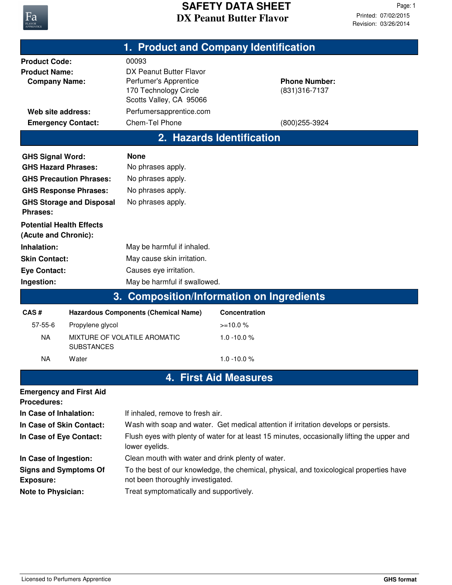

| 1. Product and Company Identification                                                                                                                                                                            |                                                |                                                                                                                                                                                                                                          |                                               |                                        |  |  |  |  |
|------------------------------------------------------------------------------------------------------------------------------------------------------------------------------------------------------------------|------------------------------------------------|------------------------------------------------------------------------------------------------------------------------------------------------------------------------------------------------------------------------------------------|-----------------------------------------------|----------------------------------------|--|--|--|--|
| <b>Product Code:</b><br><b>Product Name:</b><br><b>Company Name:</b>                                                                                                                                             |                                                | 00093<br>DX Peanut Butter Flavor<br>Perfumer's Apprentice<br>170 Technology Circle<br>Scotts Valley, CA 95066                                                                                                                            |                                               | <b>Phone Number:</b><br>(831) 316-7137 |  |  |  |  |
| Web site address:                                                                                                                                                                                                |                                                | Perfumersapprentice.com                                                                                                                                                                                                                  |                                               |                                        |  |  |  |  |
| <b>Emergency Contact:</b>                                                                                                                                                                                        |                                                | Chem-Tel Phone                                                                                                                                                                                                                           |                                               | (800) 255-3924                         |  |  |  |  |
| 2. Hazards Identification                                                                                                                                                                                        |                                                |                                                                                                                                                                                                                                          |                                               |                                        |  |  |  |  |
| <b>GHS Signal Word:</b><br><b>GHS Hazard Phrases:</b><br><b>GHS Precaution Phrases:</b><br><b>GHS Response Phrases:</b><br><b>GHS Storage and Disposal</b><br><b>Phrases:</b><br><b>Potential Health Effects</b> |                                                | <b>None</b><br>No phrases apply.<br>No phrases apply.<br>No phrases apply.<br>No phrases apply.                                                                                                                                          |                                               |                                        |  |  |  |  |
| (Acute and Chronic):<br>Inhalation:<br><b>Skin Contact:</b><br><b>Eye Contact:</b>                                                                                                                               |                                                | May be harmful if inhaled.<br>May cause skin irritation.<br>Causes eye irritation.                                                                                                                                                       |                                               |                                        |  |  |  |  |
| Ingestion:                                                                                                                                                                                                       |                                                | May be harmful if swallowed.                                                                                                                                                                                                             |                                               |                                        |  |  |  |  |
|                                                                                                                                                                                                                  |                                                | 3. Composition/Information on Ingredients                                                                                                                                                                                                |                                               |                                        |  |  |  |  |
| CAS#                                                                                                                                                                                                             |                                                | <b>Hazardous Components (Chemical Name)</b>                                                                                                                                                                                              | <b>Concentration</b>                          |                                        |  |  |  |  |
| $57 - 55 - 6$<br><b>NA</b><br><b>NA</b>                                                                                                                                                                          | Propylene glycol<br><b>SUBSTANCES</b><br>Water | MIXTURE OF VOLATILE AROMATIC                                                                                                                                                                                                             | $>=10.0%$<br>$1.0 - 10.0 %$<br>$1.0 - 10.0 %$ |                                        |  |  |  |  |
|                                                                                                                                                                                                                  |                                                |                                                                                                                                                                                                                                          | <b>4. First Aid Measures</b>                  |                                        |  |  |  |  |
| <b>Emergency and First Aid</b><br><b>Procedures:</b>                                                                                                                                                             |                                                |                                                                                                                                                                                                                                          |                                               |                                        |  |  |  |  |
| In Case of Inhalation:<br>In Case of Skin Contact:<br>In Case of Eye Contact:                                                                                                                                    |                                                | If inhaled, remove to fresh air.<br>Wash with soap and water. Get medical attention if irritation develops or persists.<br>Flush eyes with plenty of water for at least 15 minutes, occasionally lifting the upper and<br>lower eyelids. |                                               |                                        |  |  |  |  |
| In Case of Ingestion:<br><b>Signs and Symptoms Of</b><br><b>Exposure:</b><br><b>Note to Physician:</b>                                                                                                           |                                                | Clean mouth with water and drink plenty of water.<br>To the best of our knowledge, the chemical, physical, and toxicological properties have<br>not been thoroughly investigated.<br>Treat symptomatically and supportively.             |                                               |                                        |  |  |  |  |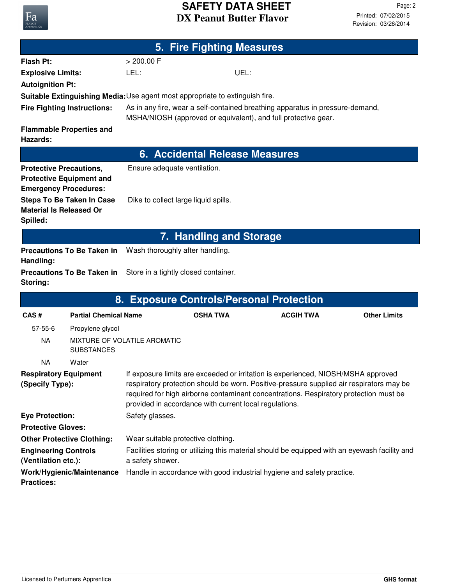## **DX Peanut Butter Flavor SAFETY DATA SHEET**

| 5. Fire Fighting Measures                                                                         |                                   |                                                                                                                                                                                                                                                                                                                                  |                                |                                              |                     |  |  |
|---------------------------------------------------------------------------------------------------|-----------------------------------|----------------------------------------------------------------------------------------------------------------------------------------------------------------------------------------------------------------------------------------------------------------------------------------------------------------------------------|--------------------------------|----------------------------------------------|---------------------|--|--|
| <b>Flash Pt:</b>                                                                                  |                                   | > 200.00 F                                                                                                                                                                                                                                                                                                                       |                                |                                              |                     |  |  |
| <b>Explosive Limits:</b>                                                                          |                                   | LEL:                                                                                                                                                                                                                                                                                                                             | UEL:                           |                                              |                     |  |  |
| <b>Autoignition Pt:</b>                                                                           |                                   |                                                                                                                                                                                                                                                                                                                                  |                                |                                              |                     |  |  |
|                                                                                                   |                                   | <b>Suitable Extinguishing Media: Use agent most appropriate to extinguish fire.</b>                                                                                                                                                                                                                                              |                                |                                              |                     |  |  |
| <b>Fire Fighting Instructions:</b>                                                                |                                   | As in any fire, wear a self-contained breathing apparatus in pressure-demand,<br>MSHA/NIOSH (approved or equivalent), and full protective gear.                                                                                                                                                                                  |                                |                                              |                     |  |  |
| <b>Flammable Properties and</b><br>Hazards:                                                       |                                   |                                                                                                                                                                                                                                                                                                                                  |                                |                                              |                     |  |  |
|                                                                                                   |                                   |                                                                                                                                                                                                                                                                                                                                  | 6. Accidental Release Measures |                                              |                     |  |  |
| <b>Protective Precautions,</b><br><b>Protective Equipment and</b><br><b>Emergency Procedures:</b> |                                   | Ensure adequate ventilation.                                                                                                                                                                                                                                                                                                     |                                |                                              |                     |  |  |
| <b>Material Is Released Or</b><br>Spilled:                                                        | <b>Steps To Be Taken In Case</b>  | Dike to collect large liquid spills.                                                                                                                                                                                                                                                                                             |                                |                                              |                     |  |  |
|                                                                                                   |                                   |                                                                                                                                                                                                                                                                                                                                  | 7. Handling and Storage        |                                              |                     |  |  |
| <b>Precautions To Be Taken in</b><br>Handling:                                                    |                                   | Wash thoroughly after handling.                                                                                                                                                                                                                                                                                                  |                                |                                              |                     |  |  |
| Storing:                                                                                          | <b>Precautions To Be Taken in</b> | Store in a tightly closed container.                                                                                                                                                                                                                                                                                             |                                |                                              |                     |  |  |
|                                                                                                   | 8.                                |                                                                                                                                                                                                                                                                                                                                  |                                | <b>Exposure Controls/Personal Protection</b> |                     |  |  |
| CAS#                                                                                              | <b>Partial Chemical Name</b>      |                                                                                                                                                                                                                                                                                                                                  | <b>OSHA TWA</b>                | <b>ACGIH TWA</b>                             | <b>Other Limits</b> |  |  |
| $57 - 55 - 6$                                                                                     | Propylene glycol                  |                                                                                                                                                                                                                                                                                                                                  |                                |                                              |                     |  |  |
| <b>NA</b>                                                                                         | <b>SUBSTANCES</b>                 | MIXTURE OF VOLATILE AROMATIC                                                                                                                                                                                                                                                                                                     |                                |                                              |                     |  |  |
| <b>NA</b>                                                                                         | Water                             |                                                                                                                                                                                                                                                                                                                                  |                                |                                              |                     |  |  |
| <b>Respiratory Equipment</b><br>(Specify Type):                                                   |                                   | If exposure limits are exceeded or irritation is experienced, NIOSH/MSHA approved<br>respiratory protection should be worn. Positive-pressure supplied air respirators may be<br>required for high airborne contaminant concentrations. Respiratory protection must be<br>provided in accordance with current local regulations. |                                |                                              |                     |  |  |
| <b>Eye Protection:</b>                                                                            |                                   | Safety glasses.                                                                                                                                                                                                                                                                                                                  |                                |                                              |                     |  |  |
| <b>Protective Gloves:</b>                                                                         |                                   |                                                                                                                                                                                                                                                                                                                                  |                                |                                              |                     |  |  |
| <b>Other Protective Clothing:</b>                                                                 |                                   | Wear suitable protective clothing.                                                                                                                                                                                                                                                                                               |                                |                                              |                     |  |  |
| <b>Engineering Controls</b><br>(Ventilation etc.):                                                |                                   | Facilities storing or utilizing this material should be equipped with an eyewash facility and<br>a safety shower.                                                                                                                                                                                                                |                                |                                              |                     |  |  |
| Work/Hygienic/Maintenance<br><b>Practices:</b>                                                    |                                   | Handle in accordance with good industrial hygiene and safety practice.                                                                                                                                                                                                                                                           |                                |                                              |                     |  |  |

Fa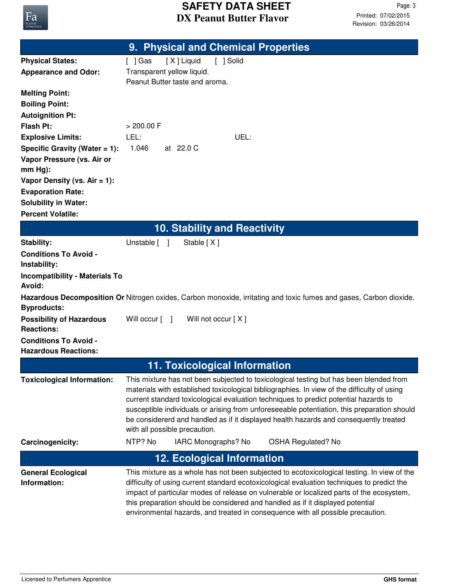

|                                                                | 9. Physical and Chemical Properties                                                                                                                                                                                                                                                                                                                                                                                                                                                                    |  |  |  |  |
|----------------------------------------------------------------|--------------------------------------------------------------------------------------------------------------------------------------------------------------------------------------------------------------------------------------------------------------------------------------------------------------------------------------------------------------------------------------------------------------------------------------------------------------------------------------------------------|--|--|--|--|
| <b>Physical States:</b>                                        | [X] Liquid<br>[ ] Solid<br>$[$ ] Gas                                                                                                                                                                                                                                                                                                                                                                                                                                                                   |  |  |  |  |
| <b>Appearance and Odor:</b>                                    | Transparent yellow liquid.                                                                                                                                                                                                                                                                                                                                                                                                                                                                             |  |  |  |  |
|                                                                | Peanut Butter taste and aroma.                                                                                                                                                                                                                                                                                                                                                                                                                                                                         |  |  |  |  |
| <b>Melting Point:</b>                                          |                                                                                                                                                                                                                                                                                                                                                                                                                                                                                                        |  |  |  |  |
| <b>Boiling Point:</b>                                          |                                                                                                                                                                                                                                                                                                                                                                                                                                                                                                        |  |  |  |  |
| <b>Autoignition Pt:</b>                                        |                                                                                                                                                                                                                                                                                                                                                                                                                                                                                                        |  |  |  |  |
| <b>Flash Pt:</b>                                               | > 200.00 F                                                                                                                                                                                                                                                                                                                                                                                                                                                                                             |  |  |  |  |
| <b>Explosive Limits:</b>                                       | LEL:<br>UEL:<br>1.046<br>at 22.0 C                                                                                                                                                                                                                                                                                                                                                                                                                                                                     |  |  |  |  |
| Specific Gravity (Water $= 1$ ):<br>Vapor Pressure (vs. Air or |                                                                                                                                                                                                                                                                                                                                                                                                                                                                                                        |  |  |  |  |
| $mm Hg$ :                                                      |                                                                                                                                                                                                                                                                                                                                                                                                                                                                                                        |  |  |  |  |
| Vapor Density (vs. $Air = 1$ ):                                |                                                                                                                                                                                                                                                                                                                                                                                                                                                                                                        |  |  |  |  |
| <b>Evaporation Rate:</b>                                       |                                                                                                                                                                                                                                                                                                                                                                                                                                                                                                        |  |  |  |  |
| <b>Solubility in Water:</b>                                    |                                                                                                                                                                                                                                                                                                                                                                                                                                                                                                        |  |  |  |  |
| <b>Percent Volatile:</b>                                       |                                                                                                                                                                                                                                                                                                                                                                                                                                                                                                        |  |  |  |  |
|                                                                | <b>10. Stability and Reactivity</b>                                                                                                                                                                                                                                                                                                                                                                                                                                                                    |  |  |  |  |
| Stability:                                                     | Unstable [ ]<br>Stable [X]                                                                                                                                                                                                                                                                                                                                                                                                                                                                             |  |  |  |  |
| <b>Conditions To Avoid -</b>                                   |                                                                                                                                                                                                                                                                                                                                                                                                                                                                                                        |  |  |  |  |
| Instability:                                                   |                                                                                                                                                                                                                                                                                                                                                                                                                                                                                                        |  |  |  |  |
| <b>Incompatibility - Materials To</b>                          |                                                                                                                                                                                                                                                                                                                                                                                                                                                                                                        |  |  |  |  |
| Avoid:                                                         |                                                                                                                                                                                                                                                                                                                                                                                                                                                                                                        |  |  |  |  |
| <b>Byproducts:</b>                                             | Hazardous Decomposition Or Nitrogen oxides, Carbon monoxide, irritating and toxic fumes and gases, Carbon dioxide.                                                                                                                                                                                                                                                                                                                                                                                     |  |  |  |  |
| <b>Possibility of Hazardous</b>                                | Will occur $\lceil \quad \rceil$<br>Will not occur [X]                                                                                                                                                                                                                                                                                                                                                                                                                                                 |  |  |  |  |
| <b>Reactions:</b>                                              |                                                                                                                                                                                                                                                                                                                                                                                                                                                                                                        |  |  |  |  |
| <b>Conditions To Avoid -</b>                                   |                                                                                                                                                                                                                                                                                                                                                                                                                                                                                                        |  |  |  |  |
| <b>Hazardous Reactions:</b>                                    |                                                                                                                                                                                                                                                                                                                                                                                                                                                                                                        |  |  |  |  |
| <b>11. Toxicological Information</b>                           |                                                                                                                                                                                                                                                                                                                                                                                                                                                                                                        |  |  |  |  |
| <b>Toxicological Information:</b>                              | This mixture has not been subjected to toxicological testing but has been blended from<br>materials with established toxicological bibliographies. In view of the difficulty of using<br>current standard toxicological evaluation techniques to predict potential hazards to<br>susceptible individuals or arising from unforeseeable potentiation, this preparation should<br>be considererd and handled as if it displayed health hazards and consequently treated<br>with all possible precaution. |  |  |  |  |
| Carcinogenicity:                                               | NTP? No<br>IARC Monographs? No<br><b>OSHA Regulated? No</b>                                                                                                                                                                                                                                                                                                                                                                                                                                            |  |  |  |  |
|                                                                | <b>12. Ecological Information</b>                                                                                                                                                                                                                                                                                                                                                                                                                                                                      |  |  |  |  |
| <b>General Ecological</b>                                      | This mixture as a whole has not been subjected to ecotoxicological testing. In view of the                                                                                                                                                                                                                                                                                                                                                                                                             |  |  |  |  |
| Information:                                                   | difficulty of using current standard ecotoxicological evaluation techniques to predict the<br>impact of particular modes of release on vulnerable or localized parts of the ecosystem,<br>this preparation should be considered and handled as if it displayed potential<br>environmental hazards, and treated in consequence with all possible precaution.                                                                                                                                            |  |  |  |  |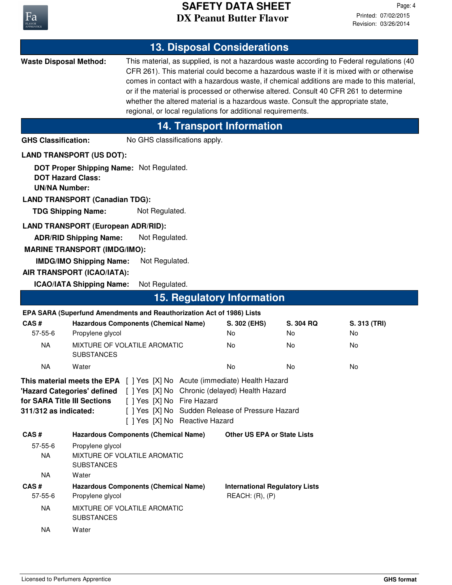

|                                                             |                                                                                                                                                                                                                                                                                                                                                                                                                                                                                                                                                                 |                                                    |                                                                                                                                                                                                                                                       | <b>13. Disposal Considerations</b>    |                                    |              |  |
|-------------------------------------------------------------|-----------------------------------------------------------------------------------------------------------------------------------------------------------------------------------------------------------------------------------------------------------------------------------------------------------------------------------------------------------------------------------------------------------------------------------------------------------------------------------------------------------------------------------------------------------------|----------------------------------------------------|-------------------------------------------------------------------------------------------------------------------------------------------------------------------------------------------------------------------------------------------------------|---------------------------------------|------------------------------------|--------------|--|
|                                                             | <b>Waste Disposal Method:</b><br>This material, as supplied, is not a hazardous waste according to Federal regulations (40<br>CFR 261). This material could become a hazardous waste if it is mixed with or otherwise<br>comes in contact with a hazardous waste, if chemical additions are made to this material,<br>or if the material is processed or otherwise altered. Consult 40 CFR 261 to determine<br>whether the altered material is a hazardous waste. Consult the appropriate state,<br>regional, or local regulations for additional requirements. |                                                    |                                                                                                                                                                                                                                                       |                                       |                                    |              |  |
|                                                             |                                                                                                                                                                                                                                                                                                                                                                                                                                                                                                                                                                 |                                                    |                                                                                                                                                                                                                                                       | <b>14. Transport Information</b>      |                                    |              |  |
| <b>GHS Classification:</b><br>No GHS classifications apply. |                                                                                                                                                                                                                                                                                                                                                                                                                                                                                                                                                                 |                                                    |                                                                                                                                                                                                                                                       |                                       |                                    |              |  |
|                                                             | <b>LAND TRANSPORT (US DOT):</b>                                                                                                                                                                                                                                                                                                                                                                                                                                                                                                                                 |                                                    |                                                                                                                                                                                                                                                       |                                       |                                    |              |  |
| <b>UN/NA Number:</b>                                        | DOT Proper Shipping Name: Not Regulated.<br><b>DOT Hazard Class:</b><br><b>LAND TRANSPORT (Canadian TDG):</b>                                                                                                                                                                                                                                                                                                                                                                                                                                                   |                                                    |                                                                                                                                                                                                                                                       |                                       |                                    |              |  |
| <b>TDG Shipping Name:</b><br>Not Regulated.                 |                                                                                                                                                                                                                                                                                                                                                                                                                                                                                                                                                                 |                                                    |                                                                                                                                                                                                                                                       |                                       |                                    |              |  |
|                                                             | <b>LAND TRANSPORT (European ADR/RID):</b><br><b>ADR/RID Shipping Name:</b><br><b>MARINE TRANSPORT (IMDG/IMO):</b><br><b>IMDG/IMO Shipping Name:</b><br>AIR TRANSPORT (ICAO/IATA):<br><b>ICAO/IATA Shipping Name:</b>                                                                                                                                                                                                                                                                                                                                            | Not Regulated.<br>Not Regulated.<br>Not Regulated. |                                                                                                                                                                                                                                                       |                                       |                                    |              |  |
|                                                             |                                                                                                                                                                                                                                                                                                                                                                                                                                                                                                                                                                 |                                                    |                                                                                                                                                                                                                                                       | <b>15. Regulatory Information</b>     |                                    |              |  |
|                                                             | EPA SARA (Superfund Amendments and Reauthorization Act of 1986) Lists                                                                                                                                                                                                                                                                                                                                                                                                                                                                                           |                                                    |                                                                                                                                                                                                                                                       |                                       |                                    |              |  |
| CAS#                                                        |                                                                                                                                                                                                                                                                                                                                                                                                                                                                                                                                                                 | <b>Hazardous Components (Chemical Name)</b>        |                                                                                                                                                                                                                                                       | S. 302 (EHS)                          | S. 304 RQ                          | S. 313 (TRI) |  |
| 57-55-6                                                     | Propylene glycol                                                                                                                                                                                                                                                                                                                                                                                                                                                                                                                                                |                                                    |                                                                                                                                                                                                                                                       | No<br>No                              | No                                 | No           |  |
| <b>NA</b>                                                   | <b>SUBSTANCES</b>                                                                                                                                                                                                                                                                                                                                                                                                                                                                                                                                               | MIXTURE OF VOLATILE AROMATIC                       |                                                                                                                                                                                                                                                       |                                       | No                                 | No           |  |
| <b>NA</b>                                                   | Water                                                                                                                                                                                                                                                                                                                                                                                                                                                                                                                                                           |                                                    |                                                                                                                                                                                                                                                       | No                                    | No                                 | No           |  |
| for SARA Title III Sections<br>311/312 as indicated:        |                                                                                                                                                                                                                                                                                                                                                                                                                                                                                                                                                                 | [ ] Yes [X] No Fire Hazard                         | <b>This material meets the EPA</b> [ ] Yes [X] No Acute (immediate) Health Hazard<br>"Hazard Categories' defined [ ] Yes [X] No Chronic (delayed) Health Hazard<br>[ ] Yes [X] No Sudden Release of Pressure Hazard<br>[ ] Yes [X] No Reactive Hazard |                                       |                                    |              |  |
| CAS#                                                        |                                                                                                                                                                                                                                                                                                                                                                                                                                                                                                                                                                 | <b>Hazardous Components (Chemical Name)</b>        |                                                                                                                                                                                                                                                       |                                       | <b>Other US EPA or State Lists</b> |              |  |
| $57 - 55 - 6$<br><b>NA</b>                                  | Propylene glycol<br>MIXTURE OF VOLATILE AROMATIC<br><b>SUBSTANCES</b>                                                                                                                                                                                                                                                                                                                                                                                                                                                                                           |                                                    |                                                                                                                                                                                                                                                       |                                       |                                    |              |  |
| <b>NA</b>                                                   | Water                                                                                                                                                                                                                                                                                                                                                                                                                                                                                                                                                           |                                                    |                                                                                                                                                                                                                                                       |                                       |                                    |              |  |
| CAS#<br>57-55-6                                             | <b>Hazardous Components (Chemical Name)</b>                                                                                                                                                                                                                                                                                                                                                                                                                                                                                                                     |                                                    |                                                                                                                                                                                                                                                       | <b>International Regulatory Lists</b> |                                    |              |  |
| <b>NA</b>                                                   | Propylene glycol<br>REACH: (R), (P)<br>MIXTURE OF VOLATILE AROMATIC<br><b>SUBSTANCES</b>                                                                                                                                                                                                                                                                                                                                                                                                                                                                        |                                                    |                                                                                                                                                                                                                                                       |                                       |                                    |              |  |
| <b>NA</b>                                                   | Water                                                                                                                                                                                                                                                                                                                                                                                                                                                                                                                                                           |                                                    |                                                                                                                                                                                                                                                       |                                       |                                    |              |  |